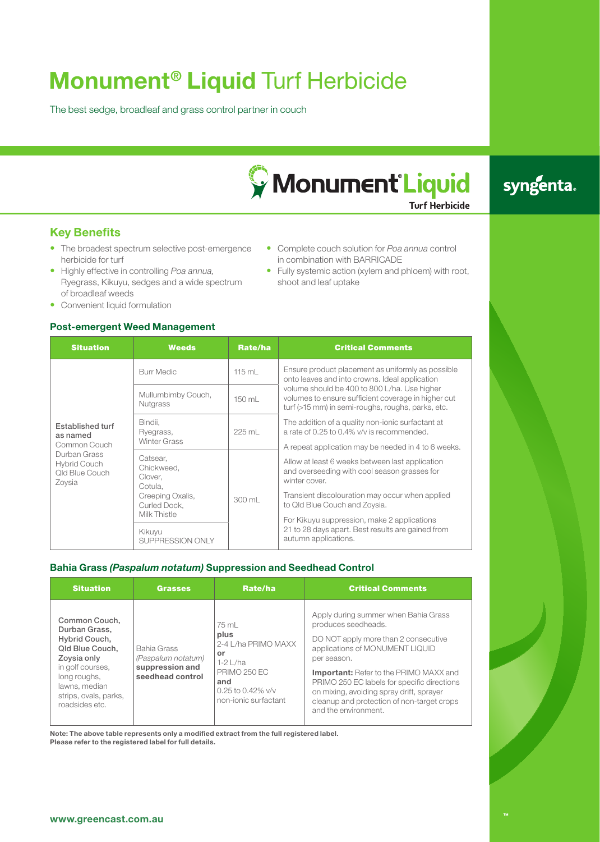# **Monument® Liquid** Turf Herbicide

The best sedge, broadleaf and grass control partner in couch



• Complete couch solution for *Poa annua* control

• Fully systemic action (xylem and phloem) with root,

in combination with BARRICADE

shoot and leaf uptake

# syngenta.

**Turf Herbicide** 

## **Key Benefits**

- The broadest spectrum selective post-emergence herbicide for turf
- • Highly effective in controlling *Poa annua,* Ryegrass, Kikuyu, sedges and a wide spectrum of broadleaf weeds
- Convenient liquid formulation

## **Post-emergent Weed Management**

| <b>Situation</b>                                                                                                | <b>Weeds</b>                                     | Rate/ha | <b>Critical Comments</b>                                                                                                                                                                                                                                    |  |  |
|-----------------------------------------------------------------------------------------------------------------|--------------------------------------------------|---------|-------------------------------------------------------------------------------------------------------------------------------------------------------------------------------------------------------------------------------------------------------------|--|--|
| Established turf<br>as named<br>Common Couch<br>Durban Grass<br><b>Hybrid Couch</b><br>Qld Blue Couch<br>Zoysia | <b>Burr Medic</b>                                | 115 mL  | Ensure product placement as uniformly as possible<br>onto leaves and into crowns. Ideal application                                                                                                                                                         |  |  |
|                                                                                                                 | Mullumbimby Couch,<br><b>Nutgrass</b>            | 150 mL  | volume should be 400 to 800 L/ha. Use higher<br>volumes to ensure sufficient coverage in higher cut<br>turf (>15 mm) in semi-roughs, roughs, parks, etc.<br>The addition of a quality non-ionic surfactant at<br>a rate of 0.25 to 0.4% v/v is recommended. |  |  |
|                                                                                                                 | Bindii,<br>Ryegrass,<br><b>Winter Grass</b>      | 225 mL  |                                                                                                                                                                                                                                                             |  |  |
|                                                                                                                 |                                                  |         | A repeat application may be needed in 4 to 6 weeks.                                                                                                                                                                                                         |  |  |
|                                                                                                                 | Catsear,<br>Chickweed,<br>Clover,<br>Cotula,     | 300 mL  | Allow at least 6 weeks between last application<br>and overseeding with cool season grasses for<br>winter cover.<br>Transient discolouration may occur when applied<br>to Qld Blue Couch and Zoysia.                                                        |  |  |
|                                                                                                                 | Creeping Oxalis,<br>Curled Dock.<br>Milk Thistle |         |                                                                                                                                                                                                                                                             |  |  |
|                                                                                                                 |                                                  |         | For Kikuyu suppression, make 2 applications<br>21 to 28 days apart. Best results are gained from<br>autumn applications.                                                                                                                                    |  |  |
|                                                                                                                 | Kikuyu<br>SUPPRESSION ONLY                       |         |                                                                                                                                                                                                                                                             |  |  |

## **Bahia Grass** *(Paspalum notatum)* **Suppression and Seedhead Control**

| <b>Situation</b>                                                                                                                                                                  | <b>Grasses</b>                                                           | Rate/ha                                                                                                                                | <b>Critical Comments</b>                                                                                                                                                                                                                                                                                                                                                |
|-----------------------------------------------------------------------------------------------------------------------------------------------------------------------------------|--------------------------------------------------------------------------|----------------------------------------------------------------------------------------------------------------------------------------|-------------------------------------------------------------------------------------------------------------------------------------------------------------------------------------------------------------------------------------------------------------------------------------------------------------------------------------------------------------------------|
| Common Couch.<br>Durban Grass.<br>Hybrid Couch,<br>Qld Blue Couch,<br>Zoysia only<br>in golf courses,<br>long roughs,<br>lawns, median<br>strips, ovals, parks,<br>roadsides etc. | Bahia Grass<br>(Paspalum notatum)<br>suppression and<br>seedhead control | 75 mL<br>plus<br>2-4 L/ha PRIMO MAXX<br>or<br>$1-2$   /ha<br><b>PRIMO 250 EC</b><br>and<br>0.25 to 0.42% $v/v$<br>non-ionic surfactant | Apply during summer when Bahia Grass<br>produces seedheads.<br>DO NOT apply more than 2 consecutive<br>applications of MONUMENT LIQUID<br>per season.<br><b>Important:</b> Refer to the PRIMO MAXX and<br>PRIMO 250 EC labels for specific directions<br>on mixing, avoiding spray drift, sprayer<br>cleanup and protection of non-target crops<br>and the environment. |

**Note: The above table represents only a modified extract from the full registered label. Please refer to the registered label for full details.**